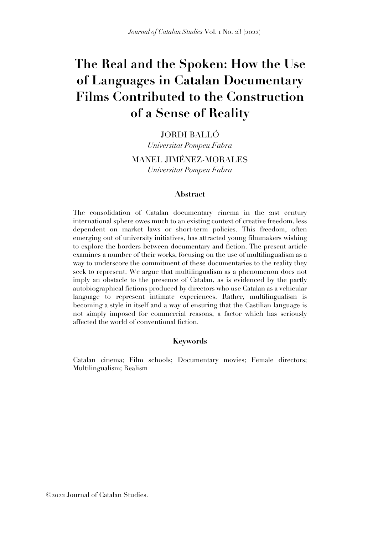# **The Real and the Spoken: How the Use of Languages in Catalan Documentary Films Contributed to the Construction of a Sense of Reality**

JORDI BALLÓ

*Universitat Pompeu Fabra*

MANEL JIMÉNEZ-MORALES *Universitat Pompeu Fabra*

## **Abstract**

The consolidation of Catalan documentary cinema in the 21st century international sphere owes much to an existing context of creative freedom, less dependent on market laws or short-term policies. This freedom, often emerging out of university initiatives, has attracted young filmmakers wishing to explore the borders between documentary and fiction. The present article examines a number of their works, focusing on the use of multilingualism as a way to underscore the commitment of these documentaries to the reality they seek to represent. We argue that multilingualism as a phenomenon does not imply an obstacle to the presence of Catalan, as is evidenced by the partly autobiographical fictions produced by directors who use Catalan as a vehicular language to represent intimate experiences. Rather, multilingualism is becoming a style in itself and a way of ensuring that the Castilian language is not simply imposed for commercial reasons, a factor which has seriously affected the world of conventional fiction.

## **Keywords**

Catalan cinema; Film schools; Documentary movies; Female directors; Multilingualism; Realism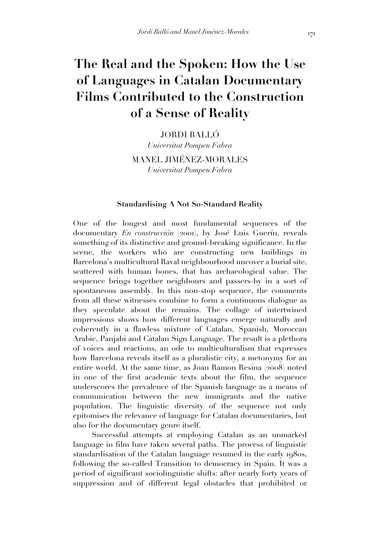## **The Real and the Spoken: How the Use of Languages in Catalan Documentary Films Contributed to the Construction of a Sense of Reality**

JORDI BALLÓ

*Universitat Pompeu Fabra*

MANEL JIMÉNEZ-MORALES *Universitat Pompeu Fabra*

## **Standardising A Not So-Standard Reality**

One of the longest and most fundamental sequences of the documentary *En construcción* (2001), by José Luis Guerín, reveals something of its distinctive and ground-breaking significance. In the scene, the workers who are constructing new buildings in Barcelona's multicultural Raval neighbourhood uncover a burial site, scattered with human bones, that has archaeological value. The sequence brings together neighbours and passers-by in a sort of spontaneous assembly. In this non-stop sequence, the comments from all these witnesses combine to form a continuous dialogue as they speculate about the remains. The collage of intertwined impressions shows how different languages emerge naturally and coherently in a flawless mixture of Catalan, Spanish, Moroccan Arabic, Panjabi and Catalan Sign Language. The result is a plethora of voices and reactions, an ode to multiculturalism that expresses how Barcelona reveals itself as a pluralistic city, a metonymy for an entire world. At the same time, as Joan Ramon Resina (2008) noted in one of the first academic texts about the film, the sequence underscores the prevalence of the Spanish language as a means of communication between the new immigrants and the native population. The linguistic diversity of the sequence not only epitomises the relevance of language for Catalan documentaries, but also for the documentary genre itself.

Successful attempts at employing Catalan as an unmarked language in film have taken several paths. The process of linguistic standardisation of the Catalan language resumed in the early 1980s, following the so-called Transition to democracy in Spain. It was a period of significant sociolinguistic shifts: after nearly forty years of suppression and of different legal obstacles that prohibited or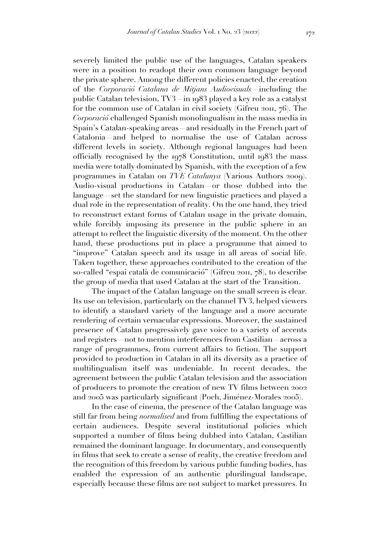severely limited the public use of the languages, Catalan speakers were in a position to readopt their own common language beyond the private sphere. Among the different policies enacted, the creation of the *Corporació Catalana de Mitjans Audiovisuals*—including the public Catalan television, TV3—in 1983 played a key role as a catalyst for the common use of Catalan in civil society (Gifreu 2011, 76). The *Corporació* challenged Spanish monolingualism in the mass media in Spain's Catalan-speaking areas—and residually in the French part of Catalonia—and helped to normalise the use of Catalan across different levels in society. Although regional languages had been officially recognised by the 1978 Constitution, until 1983 the mass media were totally dominated by Spanish, with the exception of a few programmes in Catalan on *TVE Catalunya* (Various Authors 2009). Audio-visual productions in Catalan—or those dubbed into the language—set the standard for new linguistic practices and played a dual role in the representation of reality. On the one hand, they tried to reconstruct extant forms of Catalan usage in the private domain, while forcibly imposing its presence in the public sphere in an attempt to reflect the linguistic diversity of the moment. On the other hand, these productions put in place a programme that aimed to "improve" Catalan speech and its usage in all areas of social life. Taken together, these approaches contributed to the creation of the so-called "espai català de comunicació" (Gifreu 2011, 78), to describe the group of media that used Catalan at the start of the Transition.

The impact of the Catalan language on the small screen is clear. Its use on television, particularly on the channel TV3, helped viewers to identify a standard variety of the language and a more accurate rendering of certain vernacular expressions. Moreover, the sustained presence of Catalan progressively gave voice to a variety of accents and registers—not to mention interferences from Castilian—across a range of programmes, from current affairs to fiction. The support provided to production in Catalan in all its diversity as a practice of multilingualism itself was undeniable. In recent decades, the agreement between the public Catalan television and the association of producers to promote the creation of new TV films between 2002 and 2005 was particularly significant (Poch, Jiménez-Morales 2005).

In the case of cinema, the presence of the Catalan language was still far from being *normalised* and from fulfilling the expectations of certain audiences. Despite several institutional policies which supported a number of films being dubbed into Catalan, Castilian remained the dominant language. In documentary, and consequently in films that seek to create a sense of reality, the creative freedom and the recognition of this freedom by various public funding bodies, has enabled the expression of an authentic plurilingual landscape, especially because these films are not subject to market pressures. In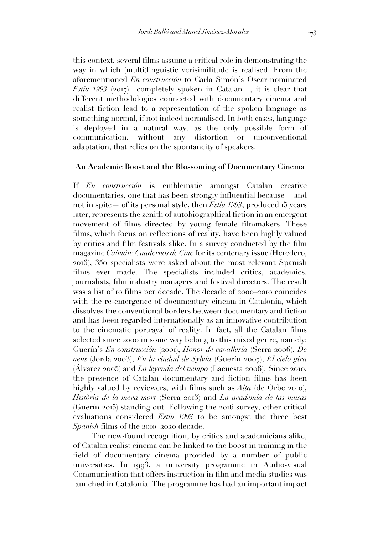this context, several films assume a critical role in demonstrating the way in which (multi)linguistic verisimilitude is realised. From the aforementioned *En construcción* to Carla Simón's Oscar-nominated *Estiu 1993* (2017) completely spoken in Catalan, it is clear that different methodologies connected with documentary cinema and realist fiction lead to a representation of the spoken language as something normal, if not indeed normalised. In both cases, language is deployed in a natural way, as the only possible form of communication, without any distortion or unconventional adaptation, that relies on the spontaneity of speakers.

## **An Academic Boost and the Blossoming of Documentary Cinema**

If *En construcción* is emblematic amongst Catalan creative documentaries, one that has been strongly influential because —and not in spite— of its personal style, then *Estiu 1993*, produced 15 years later, represents the zenith of autobiographical fiction in an emergent movement of films directed by young female filmmakers. These films, which focus on reflections of reality, have been highly valued by critics and film festivals alike. In a survey conducted by the film magazine *Caimán: Cuadernos de Cine* for its centenary issue (Heredero, 2016), 350 specialists were asked about the most relevant Spanish films ever made. The specialists included critics, academics, journalists, film industry managers and festival directors. The result was a list of 10 films per decade. The decade of 2000–2010 coincides with the re-emergence of documentary cinema in Catalonia, which dissolves the conventional borders between documentary and fiction and has been regarded internationally as an innovative contribution to the cinematic portrayal of reality. In fact, all the Catalan films selected since 2000 in some way belong to this mixed genre, namely: Guerín's *En construcción* (2001), *Honor de cavalleria* (Serra 2006), *De nens* (Jordà 2003), *En la ciudad de Sylvia* (Guerín 2007), *El cielo gira* (Álvarez 2005) and *La leyenda del tiempo* (Lacuesta 2006). Since 2010, the presence of Catalan documentary and fiction films has been highly valued by reviewers, with films such as *Aita* (de Orbe 2010), *Història de la meva mort* (Serra 2013) and *La academia de las musas* (Guerín 2015) standing out. Following the 2016 survey, other critical evaluations considered *Estiu 1993* to be amongst the three best *Spanish* films of the 2010–2020 decade.

The new-found recognition, by critics and academicians alike, of Catalan realist cinema can be linked to the boost in training in the field of documentary cinema provided by a number of public universities. In 1993, a university programme in Audio-visual Communication that offers instruction in film and media studies was launched in Catalonia. The programme has had an important impact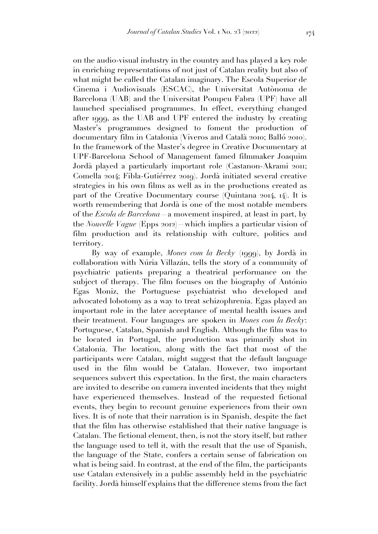on the audio-visual industry in the country and has played a key role in enriching representations of not just of Catalan reality but also of what might be called the Catalan imaginary. The Escola Superior de Cinema i Audiovisuals (ESCAC), the Universitat Autònoma de Barcelona (UAB) and the Universitat Pompeu Fabra (UPF) have all launched specialised programmes. In effect, everything changed after 1999, as the UAB and UPF entered the industry by creating Master's programmes designed to foment the production of documentary film in Catalonia (Viveros and Català 2010; Balló 2010). In the framework of the Master's degree in Creative Documentary at UPF-Barcelona School of Management famed filmmaker Joaquim Jordà played a particularly important role (Castanon-Akrami 2011; Comella 2014; Fibla-Gutiérrez 2019). Jordà initiated several creative strategies in his own films as well as in the productions created as part of the Creative Documentary course (Quintana 2014, 14). It is worth remembering that Jordà is one of the most notable members of the *Escola de Barcelona*—a movement inspired, at least in part, by the *Nouvelle Vague* (Epps 2012)—which implies a particular vision of film production and its relationship with culture, politics and territory.

By way of example, *Mones com la Becky* (1999), by Jordà in collaboration with Núria Villazán, tells the story of a community of psychiatric patients preparing a theatrical performance on the subject of therapy. The film focuses on the biography of António Egas Moniz, the Portuguese psychiatrist who developed and advocated lobotomy as a way to treat schizophrenia. Egas played an important role in the later acceptance of mental health issues and their treatment. Four languages are spoken in *Mones com la Becky*: Portuguese, Catalan, Spanish and English. Although the film was to be located in Portugal, the production was primarily shot in Catalonia. The location, along with the fact that most of the participants were Catalan, might suggest that the default language used in the film would be Catalan. However, two important sequences subvert this expectation. In the first, the main characters are invited to describe on camera invented incidents that they might have experienced themselves. Instead of the requested fictional events, they begin to recount genuine experiences from their own lives. It is of note that their narration is in Spanish, despite the fact that the film has otherwise established that their native language is Catalan. The fictional element, then, is not the story itself, but rather the language used to tell it, with the result that the use of Spanish, the language of the State, confers a certain sense of fabrication on what is being said. In contrast, at the end of the film, the participants use Catalan extensively in a public assembly held in the psychiatric facility. Jordà himself explains that the difference stems from the fact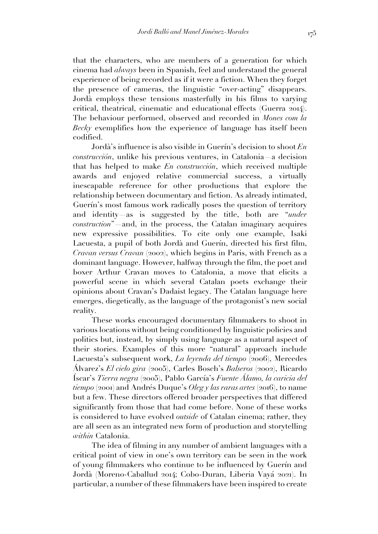that the characters, who are members of a generation for which cinema had *always* been in Spanish, feel and understand the general experience of being recorded as if it were a fiction. When they forget the presence of cameras, the linguistic "over-acting" disappears. Jordà employs these tensions masterfully in his films to varying critical, theatrical, cinematic and educational effects (Guerra 2014). The behaviour performed, observed and recorded in *Mones com la Becky* exemplifies how the experience of language has itself been codified.

Jordà's influence is also visible in Guerín's decision to shoot *En construcción*, unlike his previous ventures, in Catalonia—a decision that has helped to make *En construcción*, which received multiple awards and enjoyed relative commercial success, a virtually inescapable reference for other productions that explore the relationship between documentary and fiction. As already intimated, Guerín's most famous work radically poses the question of territory and identity—as is suggested by the title, both are "*under construction*"—and, in the process, the Catalan imaginary acquires new expressive possibilities. To cite only one example, Isaki Lacuesta, a pupil of both Jordà and Guerín, directed his first film, *Cravan versus Cravan* (2002), which begins in Paris, with French as a dominant language. However, halfway through the film, the poet and boxer Arthur Cravan moves to Catalonia, a move that elicits a powerful scene in which several Catalan poets exchange their opinions about Cravan's Dadaist legacy. The Catalan language here emerges, diegetically, as the language of the protagonist's new social reality.

These works encouraged documentary filmmakers to shoot in various locations without being conditioned by linguistic policies and politics but, instead, by simply using language as a natural aspect of their stories. Examples of this more "natural" approach include Lacuesta's subsequent work, *La leyenda del tiempo* (2006), Mercedes Álvarez's *El cielo gira* (2005), Carles Bosch's *Balseros* (2002), Ricardo Íscar's *Tierra negra* (2005), Pablo García's *Fuente Álamo, la caricia del tiempo* (2001) and Andrés Duque's *Oleg y las raras artes* (2016), to name but a few. These directors offered broader perspectives that differed significantly from those that had come before. None of these works is considered to have evolved *outside* of Catalan cinema; rather, they are all seen as an integrated new form of production and storytelling *within* Catalonia.

The idea of filming in any number of ambient languages with a critical point of view in one's own territory can be seen in the work of young filmmakers who continue to be influenced by Guerín and Jordà (Moreno-Caballud 2014; Cobo-Duran, Liberia Vayá 2021). In particular, a number of these filmmakers have been inspired to create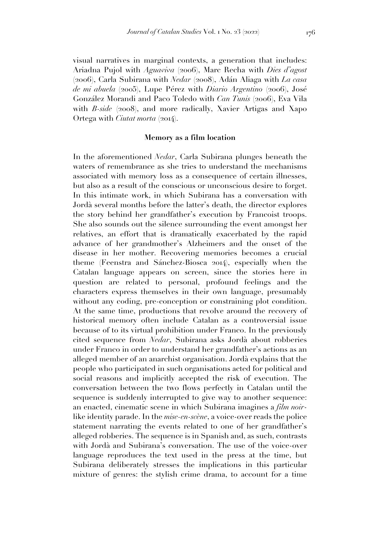visual narratives in marginal contexts, a generation that includes: Ariadna Pujol with *Aguaviva* (2006), Marc Recha with *Dies d'agost* (2006), Carla Subirana with *Nedar* (2008), Adán Aliaga with *La casa de mi abuela* (2005), Lupe Pérez with *Diario Argentino* (2006), José González Morandi and Paco Toledo with *Can Tunis* (2006), Eva Vila with *B-side* (2008), and more radically, Xavier Artigas and Xapo Ortega with *Ciutat morta* (2014).

## **Memory as a film location**

In the aforementioned *Nedar*, Carla Subirana plunges beneath the waters of remembrance as she tries to understand the mechanisms associated with memory loss as a consequence of certain illnesses, but also as a result of the conscious or unconscious desire to forget. In this intimate work, in which Subirana has a conversation with Jordà several months before the latter's death, the director explores the story behind her grandfather's execution by Francoist troops. She also sounds out the silence surrounding the event amongst her relatives, an effort that is dramatically exacerbated by the rapid advance of her grandmother's Alzheimers and the onset of the disease in her mother. Recovering memories becomes a crucial theme (Feenstra and Sánchez-Biosca 2014), especially when the Catalan language appears on screen, since the stories here in question are related to personal, profound feelings and the characters express themselves in their own language, presumably without any coding, pre-conception or constraining plot condition. At the same time, productions that revolve around the recovery of historical memory often include Catalan as a controversial issue because of to its virtual prohibition under Franco. In the previously cited sequence from *Nedar*, Subirana asks Jordà about robberies under Franco in order to understand her grandfather's actions as an alleged member of an anarchist organisation. Jordà explains that the people who participated in such organisations acted for political and social reasons and implicitly accepted the risk of execution. The conversation between the two flows perfectly in Catalan until the sequence is suddenly interrupted to give way to another sequence: an enacted, cinematic scene in which Subirana imagines a *film noir*like identity parade. In the *mise-en-scène*, a voice-over reads the police statement narrating the events related to one of her grandfather's alleged robberies. The sequence is in Spanish and, as such, contrasts with Jordà and Subirana's conversation. The use of the voice-over language reproduces the text used in the press at the time, but Subirana deliberately stresses the implications in this particular mixture of genres: the stylish crime drama, to account for a time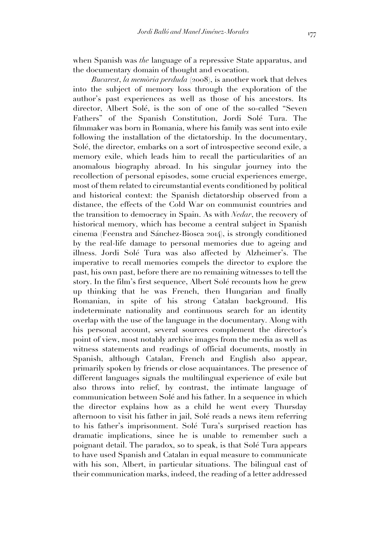when Spanish was *the* language of a repressive State apparatus, and the documentary domain of thought and evocation.

*Bucarest*, *la memòria perduda* (2008), is another work that delves into the subject of memory loss through the exploration of the author's past experiences as well as those of his ancestors. Its director, Albert Solé, is the son of one of the so-called "Seven Fathers" of the Spanish Constitution, Jordi Solé Tura. The filmmaker was born in Romania, where his family was sent into exile following the installation of the dictatorship. In the documentary, Solé, the director, embarks on a sort of introspective second exile, a memory exile, which leads him to recall the particularities of an anomalous biography abroad. In his singular journey into the recollection of personal episodes, some crucial experiences emerge, most of them related to circumstantial events conditioned by political and historical context: the Spanish dictatorship observed from a distance, the effects of the Cold War on communist countries and the transition to democracy in Spain. As with *Nedar*, the recovery of historical memory, which has become a central subject in Spanish cinema (Feenstra and Sánchez-Biosca 2014), is strongly conditioned by the real-life damage to personal memories due to ageing and illness. Jordi Solé Tura was also affected by Alzheimer's. The imperative to recall memories compels the director to explore the past, his own past, before there are no remaining witnesses to tell the story. In the film's first sequence, Albert Solé recounts how he grew up thinking that he was French, then Hungarian and finally Romanian, in spite of his strong Catalan background. His indeterminate nationality and continuous search for an identity overlap with the use of the language in the documentary. Along with his personal account, several sources complement the director's point of view, most notably archive images from the media as well as witness statements and readings of official documents, mostly in Spanish, although Catalan, French and English also appear, primarily spoken by friends or close acquaintances. The presence of different languages signals the multilingual experience of exile but also throws into relief, by contrast, the intimate language of communication between Solé and his father. In a sequence in which the director explains how as a child he went every Thursday afternoon to visit his father in jail, Solé reads a news item referring to his father's imprisonment. Solé Tura's surprised reaction has dramatic implications, since he is unable to remember such a poignant detail. The paradox, so to speak, is that Solé Tura appears to have used Spanish and Catalan in equal measure to communicate with his son, Albert, in particular situations. The bilingual cast of their communication marks, indeed, the reading of a letter addressed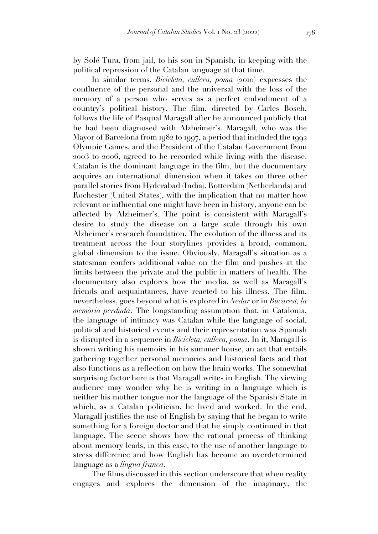by Solé Tura, from jail, to his son in Spanish, in keeping with the political repression of the Catalan language at that time.

In similar terms, *Bicicleta, cullera, poma* (2010) expresses the confluence of the personal and the universal with the loss of the memory of a person who serves as a perfect embodiment of a country's political history. The film, directed by Carles Bosch, follows the life of Pasqual Maragall after he announced publicly that he had been diagnosed with Alzheimer's. Maragall, who was the Mayor of Barcelona from 1982 to 1997, a period that included the 1992 Olympic Games, and the President of the Catalan Government from 2003 to 2006, agreed to be recorded while living with the disease. Catalan is the dominant language in the film, but the documentary acquires an international dimension when it takes on three other parallel stories from Hyderabad (India), Rotterdam (Netherlands) and Rochester (United States), with the implication that no matter how relevant or influential one might have been in history, anyone can be affected by Alzheimer's. The point is consistent with Maragall's desire to study the disease on a large scale through his own Alzheimer's research foundation. The evolution of the illness and its treatment across the four storylines provides a broad, common, global dimension to the issue. Obviously, Maragall's situation as a statesman confers additional value on the film and pushes at the limits between the private and the public in matters of health. The documentary also explores how the media, as well as Maragall's friends and acquaintances, have reacted to his illness. The film, nevertheless, goes beyond what is explored in *Nedar* or in *Bucarest, la memòria perduda*. The longstanding assumption that, in Catalonia, the language of intimacy was Catalan while the language of social, political and historical events and their representation was Spanish is disrupted in a sequence in *Bicicleta, cullera, poma*. In it, Maragall is shown writing his memoirs in his summer house, an act that entails gathering together personal memories and historical facts and that also functions as a reflection on how the brain works. The somewhat surprising factor here is that Maragall writes in English. The viewing audience may wonder why he is writing in a language which is neither his mother tongue nor the language of the Spanish State in which, as a Catalan politician, he lived and worked. In the end, Maragall justifies the use of English by saying that he began to write something for a foreign doctor and that he simply continued in that language. The scene shows how the rational process of thinking about memory leads, in this case, to the use of another language to stress difference and how English has become an overdetermined language as a *lingua franca*.

The films discussed in this section underscore that when reality engages and explores the dimension of the imaginary, the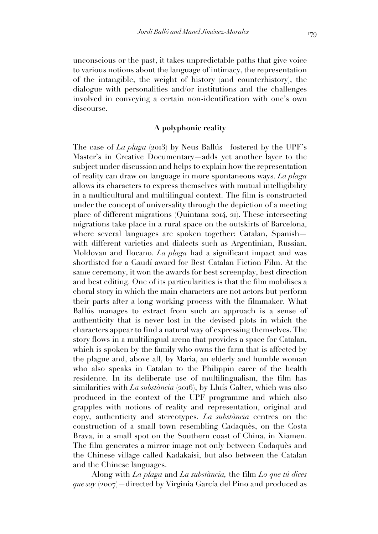unconscious or the past, it takes unpredictable paths that give voice to various notions about the language of intimacy, the representation of the intangible, the weight of history (and counterhistory), the dialogue with personalities and/or institutions and the challenges involved in conveying a certain non-identification with one's own discourse.

## **A polyphonic reality**

The case of *La plaga* (2013) by Neus Ballús—fostered by the UPF's Master's in Creative Documentary—adds yet another layer to the subject under discussion and helps to explain how the representation of reality can draw on language in more spontaneous ways. *La plaga*  allows its characters to express themselves with mutual intelligibility in a multicultural and multilingual context. The film is constructed under the concept of universality through the depiction of a meeting place of different migrations (Quintana 2014, 21). These intersecting migrations take place in a rural space on the outskirts of Barcelona, where several languages are spoken together: Catalan, Spanish with different varieties and dialects such as Argentinian, Russian, Moldovan and Ilocano. *La plaga* had a significant impact and was shortlisted for a Gaudí award for Best Catalan Fiction Film. At the same ceremony, it won the awards for best screenplay, best direction and best editing. One of its particularities is that the film mobilises a choral story in which the main characters are not actors but perform their parts after a long working process with the filmmaker. What Ballús manages to extract from such an approach is a sense of authenticity that is never lost in the devised plots in which the characters appear to find a natural way of expressing themselves. The story flows in a multilingual arena that provides a space for Catalan, which is spoken by the family who owns the farm that is affected by the plague and, above all, by Maria, an elderly and humble woman who also speaks in Catalan to the Philippin carer of the health residence. In its deliberate use of multilingualism, the film has similarities with *La substància* (2016), by Lluís Galter, which was also produced in the context of the UPF programme and which also grapples with notions of reality and representation, original and copy, authenticity and stereotypes. *La substància* centres on the construction of a small town resembling Cadaquès, on the Costa Brava, in a small spot on the Southern coast of China, in Xiamen. The film generates a mirror image not only between Cadaquès and the Chinese village called Kadakaisi, but also between the Catalan and the Chinese languages.

Along with *La plaga* and *La substància,* the film *Lo que tú dices que soy* (2007)—directed by Virginia García del Pino and produced as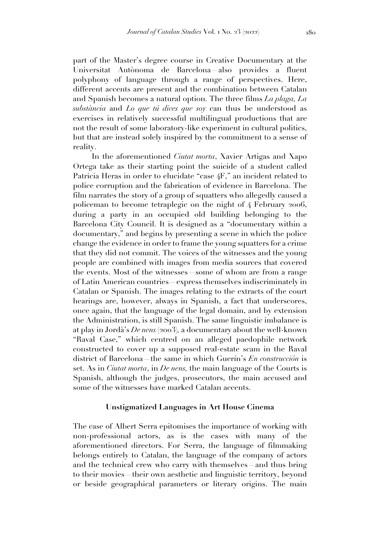part of the Master's degree course in Creative Documentary at the Universitat Autònoma de Barcelona—also provides a fluent polyphony of language through a range of perspectives. Here, different accents are present and the combination between Catalan and Spanish becomes a natural option. The three films *La plaga, La substància* and *Lo que tú dices que soy* can thus be understood as exercises in relatively successful multilingual productions that are not the result of some laboratory-like experiment in cultural politics, but that are instead solely inspired by the commitment to a sense of reality.

In the aforementioned *Ciutat morta*, Xavier Artigas and Xapo Ortega take as their starting point the suicide of a student called Patricia Heras in order to elucidate "case 4F," an incident related to police corruption and the fabrication of evidence in Barcelona. The film narrates the story of a group of squatters who allegedly caused a policeman to become tetraplegic on the night of 4 February 2006, during a party in an occupied old building belonging to the Barcelona City Council. It is designed as a "documentary within a documentary," and begins by presenting a scene in which the police change the evidence in order to frame the young squatters for a crime that they did not commit. The voices of the witnesses and the young people are combined with images from media sources that covered the events. Most of the witnesses—some of whom are from a range of Latin American countries—express themselves indiscriminately in Catalan or Spanish. The images relating to the extracts of the court hearings are, however, always in Spanish, a fact that underscores, once again, that the language of the legal domain, and by extension the Administration, is still Spanish. The same linguistic imbalance is at play in Jordà's *De nens* (2003)*,* a documentary about the well-known "Raval Case," which centred on an alleged paedophile network constructed to cover up a supposed real-estate scam in the Raval district of Barcelona—the same in which Guerín's *En construcción* is set. As in *Ciutat morta*, in *De nens,* the main language of the Courts is Spanish, although the judges, prosecutors, the main accused and some of the witnesses have marked Catalan accents.

### **Unstigmatized Languages in Art House Cinema**

The case of Albert Serra epitomises the importance of working with non-professional actors, as is the cases with many of the aforementioned directors. For Serra, the language of filmmaking belongs entirely to Catalan, the language of the company of actors and the technical crew who carry with themselves—and thus bring to their movies—their own aesthetic and linguistic territory, beyond or beside geographical parameters or literary origins. The main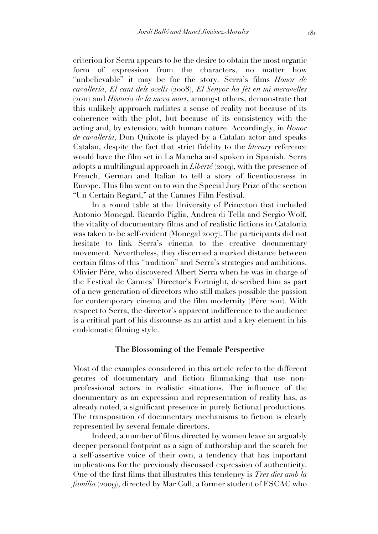criterion for Serra appears to be the desire to obtain the most organic form of expression from the characters, no matter how "unbelievable" it may be for the story. Serra's films *Honor de cavalleria*, *El cant dels ocells* (2008), *El Senyor ha fet en mi meravelles* (2011) and *Historia de la meva mort*, amongst others, demonstrate that this unlikely approach radiates a sense of reality not because of its coherence with the plot, but because of its consistency with the acting and, by extension, with human nature. Accordingly, in *Honor de cavalleria*, Don Quixote is played by a Catalan actor and speaks Catalan, despite the fact that strict fidelity to the *literary* reference would have the film set in La Mancha and spoken in Spanish. Serra adopts a multilingual approach in *Liberté* (2019), with the presence of French, German and Italian to tell a story of licentiousness in Europe. This film went on to win the Special Jury Prize of the section "Un Certain Regard," at the Cannes Film Festival.

In a round table at the University of Princeton that included Antonio Monegal, Ricardo Piglia, Andrea di Tella and Sergio Wolf, the vitality of documentary films and of realistic fictions in Catalonia was taken to be self-evident (Monegal 2007). The participants did not hesitate to link Serra's cinema to the creative documentary movement. Nevertheless, they discerned a marked distance between certain films of this "tradition" and Serra's strategies and ambitions. Olivier Père, who discovered Albert Serra when he was in charge of the Festival de Cannes' Director's Fortnight, described him as part of a new generation of directors who still makes possible the passion for contemporary cinema and the film modernity (Père 2011). With respect to Serra, the director's apparent indifference to the audience is a critical part of his discourse as an artist and a key element in his emblematic filming style.

## **The Blossoming of the Female Perspective**

Most of the examples considered in this article refer to the different genres of documentary and fiction filmmaking that use nonprofessional actors in realistic situations. The influence of the documentary as an expression and representation of reality has, as already noted, a significant presence in purely fictional productions. The transposition of documentary mechanisms to fiction is clearly represented by several female directors.

Indeed, a number of films directed by women leave an arguably deeper personal footprint as a sign of authorship and the search for a self-assertive voice of their own, a tendency that has important implications for the previously discussed expression of authenticity. One of the first films that illustrates this tendency is *Tres dies amb la família* (2009), directed by Mar Coll, a former student of ESCAC who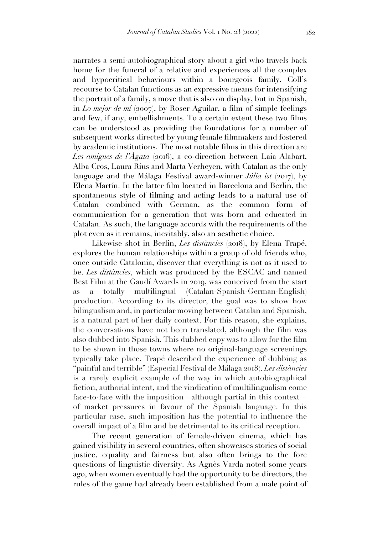narrates a semi-autobiographical story about a girl who travels back home for the funeral of a relative and experiences all the complex and hypocritical behaviours within a bourgeois family. Coll's recourse to Catalan functions as an expressive means for intensifying the portrait of a family, a move that is also on display, but in Spanish, in *Lo mejor de mí* (2007), by Roser Aguilar, a film of simple feelings and few, if any, embellishments. To a certain extent these two films can be understood as providing the foundations for a number of subsequent works directed by young female filmmakers and fostered by academic institutions. The most notable films in this direction are *Les amigues de l'Àgata* (2016), a co-direction between Laia Alabart, Alba Cros, Laura Rius and Marta Verheyen, with Catalan as the only language and the Málaga Festival award-winner *Júlia ist* (2017), by Elena Martín. In the latter film located in Barcelona and Berlin, the spontaneous style of filming and acting leads to a natural use of Catalan combined with German, as the common form of communication for a generation that was born and educated in Catalan. As such, the language accords with the requirements of the plot even as it remains, inevitably, also an aesthetic choice.

Likewise shot in Berlin, *Les distàncies* (2018), by Elena Trapé, explores the human relationships within a group of old friends who, once outside Catalonia, discover that everything is not as it used to be. *Les distàncies*, which was produced by the ESCAC and named Best Film at the Gaudí Awards in 2019, was conceived from the start as a totally multilingual (Catalan-Spanish-German-English) production. According to its director, the goal was to show how bilingualism and, in particular moving between Catalan and Spanish, is a natural part of her daily context. For this reason, she explains, the conversations have not been translated, although the film was also dubbed into Spanish. This dubbed copy was to allow for the film to be shown in those towns where no original-language screenings typically take place. Trapé described the experience of dubbing as "painful and terrible" (Especial Festival de Málaga 2018). *Les distàncies* is a rarely explicit example of the way in which autobiographical fiction, authorial intent, and the vindication of multilingualism come face-to-face with the imposition—although partial in this context of market pressures in favour of the Spanish language. In this particular case, such imposition has the potential to influence the overall impact of a film and be detrimental to its critical reception.

The recent generation of female-driven cinema, which has gained visibility in several countries, often showcases stories of social justice, equality and fairness but also often brings to the fore questions of linguistic diversity. As Agnès Varda noted some years ago, when women eventually had the opportunity to be directors, the rules of the game had already been established from a male point of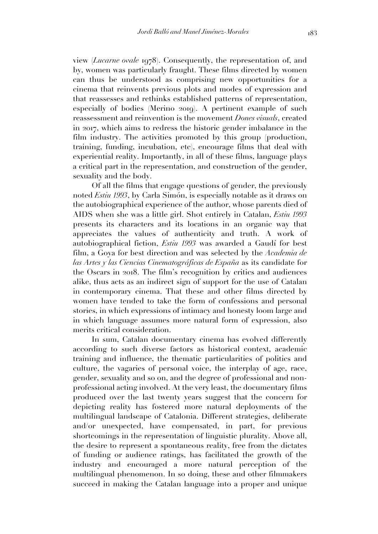view (*Lucarne ovale* 1978). Consequently, the representation of, and by, women was particularly fraught. These films directed by women can thus be understood as comprising new opportunities for a cinema that reinvents previous plots and modes of expression and that reassesses and rethinks established patterns of representation, especially of bodies (Merino 2019). A pertinent example of such reassessment and reinvention is the movement *Dones visuals*, created in 2017, which aims to redress the historic gender imbalance in the film industry. The activities promoted by this group (production, training, funding, incubation, etc), encourage films that deal with experiential reality. Importantly, in all of these films, language plays a critical part in the representation, and construction of the gender, sexuality and the body.

Of all the films that engage questions of gender, the previously noted *Estiu 1993*, by Carla Simón, is especially notable as it draws on the autobiographical experience of the author, whose parents died of AIDS when she was a little girl. Shot entirely in Catalan, *Estiu 1993* presents its characters and its locations in an organic way that appreciates the values of authenticity and truth. A work of autobiographical fiction, *Estiu 1993* was awarded a Gaudí for best film, a Goya for best direction and was selected by the *Academia de las Artes y las Ciencias Cinematográficas de España* as its candidate for the Oscars in 2018. The film's recognition by critics and audiences alike, thus acts as an indirect sign of support for the use of Catalan in contemporary cinema. That these and other films directed by women have tended to take the form of confessions and personal stories, in which expressions of intimacy and honesty loom large and in which language assumes more natural form of expression, also merits critical consideration.

In sum, Catalan documentary cinema has evolved differently according to such diverse factors as historical context, academic training and influence, the thematic particularities of politics and culture, the vagaries of personal voice, the interplay of age, race, gender, sexuality and so on, and the degree of professional and nonprofessional acting involved. At the very least, the documentary films produced over the last twenty years suggest that the concern for depicting reality has fostered more natural deployments of the multilingual landscape of Catalonia. Different strategies, deliberate and/or unexpected, have compensated, in part, for previous shortcomings in the representation of linguistic plurality. Above all, the desire to represent a spontaneous reality, free from the dictates of funding or audience ratings, has facilitated the growth of the industry and encouraged a more natural perception of the multilingual phenomenon. In so doing, these and other filmmakers succeed in making the Catalan language into a proper and unique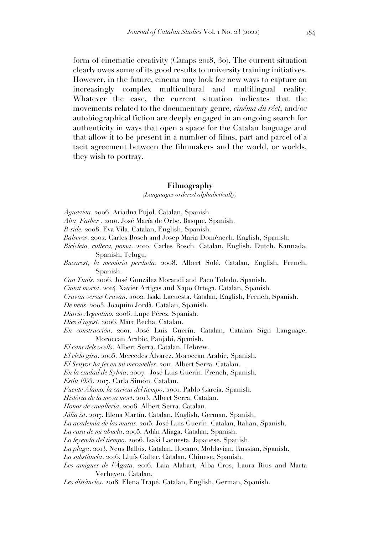form of cinematic creativity (Camps 2018, 30). The current situation clearly owes some of its good results to university training initiatives. However, in the future, cinema may look for new ways to capture an increasingly complex multicultural and multilingual reality. Whatever the case, the current situation indicates that the movements related to the documentary genre, *cinéma du réel*, and/or autobiographical fiction are deeply engaged in an ongoing search for authenticity in ways that open a space for the Catalan language and that allow it to be present in a number of films, part and parcel of a tacit agreement between the filmmakers and the world, or worlds, they wish to portray.

### **Filmography**

#### *(Languages ordered alphabetically)*

- *Aguaviva*. 2006. Ariadna Pujol. Catalan, Spanish.
- *Aita* [*Father*]. 2010. José María de Orbe. Basque, Spanish.
- *B-side.* 2008. Eva Vila. Catalan, English, Spanish.
- *Balseros*. 2002. Carles Bosch and Josep Maria Domènech. English, Spanish.
- *Bicicleta, cullera, poma*. 2010. Carles Bosch. Catalan, English, Dutch, Kannada, Spanish, Telugu.
- *Bucarest, la memòria perduda*. 2008. Albert Solé. Catalan, English, French, Spanish.
- *Can Tunis*. 2006. José González Morandi and Paco Toledo. Spanish.
- *Ciutat morta*. 2014. Xavier Artigas and Xapo Ortega. Catalan, Spanish.
- *Cravan versus Cravan*. 2002. Isaki Lacuesta. Catalan, English, French, Spanish.
- *De nens*. 2003. Joaquim Jordà. Catalan, Spanish.
- *Diario Argentino.* 2006. Lupe Pérez. Spanish.
- *Dies d'agost.* 2006. Marc Recha. Catalan.
- *En construcción*. 2001. José Luis Guerín. Catalan, Catalan Sign Language, Moroccan Arabic, Panjabi, Spanish.

*El cant dels ocells*. Albert Serra. Catalan, Hebrew.

- *El cielo gira*. 2005. Mercedes Álvarez. Moroccan Arabic, Spanish.
- *El Senyor ha fet en mi meravelles*. 2011. Albert Serra. Catalan.
- *En la ciudad de Sylvia*. 2007. José Luis Guerín. French, Spanish.
- *Estiu 1993*. 2017. Carla Simón. Catalan.
- *Fuente Álamo: la caricia del tiempo*. 2001. Pablo García. Spanish.
- *Història de la meva mort*. 2013. Albert Serra. Catalan.
- *Honor de cavalleria*. 2006. Albert Serra. Catalan.
- *Júlia ist*. 2017. Elena Martín. Catalan, English, German, Spanish.
- *La academia de las musas*. 2015. José Luis Guerín. Catalan, Italian, Spanish.
- *La casa de mi abuela*. 2005. Adán Aliaga. Catalan, Spanish.
- *La leyenda del tiempo*. 2006. Isaki Lacuesta. Japanese, Spanish.
- *La plaga*. 2013. Neus Ballús. Catalan, Ilocano, Moldavian, Russian, Spanish.
- *La substància*. 2016. Lluís Galter. Catalan, Chinese, Spanish.
- *Les amigues de l'Àgata*. 2016. Laia Alabart, Alba Cros, Laura Rius and Marta Verheyen. Catalan.
- *Les distàncies*. 2018. Elena Trapé. Catalan, English, German, Spanish.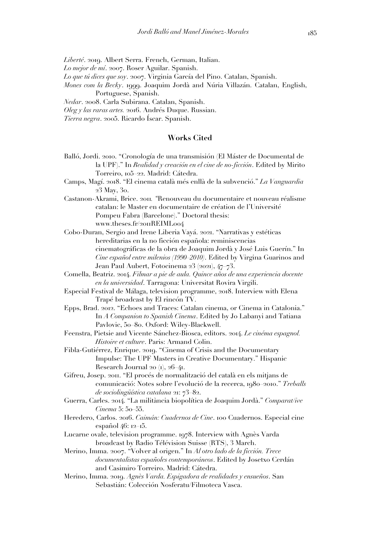- *Liberté*. 2019. Albert Serra. French, German, Italian.
- *Lo mejor de mí*. 2007. Roser Aguilar. Spanish.
- *Lo que tú dices que soy*. 2007. Virginia García del Pino. Catalan, Spanish.
- *Mones com la Becky*. 1999. Joaquim Jordà and Núria Villazán. Catalan, English, Portuguese, Spanish.
- *Nedar*. 2008. Carla Subirana. Catalan, Spanish.
- *Oleg y las raras artes.* 2016. Andrés Duque. Russian.

*Tierra negra*. 2005. Ricardo Íscar. Spanish.

## **Works Cited**

- Balló, Jordi. 2010. "Cronología de una transmisión (El Máster de Documental de la UPF)." In *Realidad y creación en el cine de no-ficción*. Edited by Mirito Torreiro, 105–22. Madrid: Cátedra.
- Camps, Magí. 2018. "El cinema català més enllà de la subvenció." *La Vanguardia* 23 May, 30.
- Castanon-Akrami, Brice. 2011*. "*Renouveau du documentaire et nouveau réalisme catalan: le Master en documentaire de création de l'Université Pompeu Fabra (Barcelone)." Doctoral thesis: www.theses.fr/2011REIML004
- Cobo-Duran, Sergio and Irene Liberia Vayá. 2021. "Narrativas y estéticas hereditarias en la no ficción española: reminiscencias cinematográficas de la obra de Joaquim Jordà y José Luis Guerín." In *Cine español entre milenios (1990–2010)*. Edited by Virgina Guarinos and Jean Paul Aubert, Fotocinema 23 (2021), 47–73.
- Comella, Beatriz. 2014. *Filmar a pie de aula. Quince años de una experiencia docente en la universidad*. Tarragona: Universitat Rovira Virgili.
- Especial Festival de Málaga, television programme, 2018. Interview with Elena Trapé broadcast by El rincón TV.
- Epps, Brad. 2012. "Echoes and Traces: Catalan cinema, or Cinema in Catalonia." In *A Companion to Spanish Cinema*. Edited by Jo Labanyi and Tatiana Pavlovic, 50–80. Oxford: Wiley-Blackwell.
- Feenstra, Pietsie and Vicente Sánchez-Biosca, editors. 2014. *Le cinéma espagnol. Histoire et culture*. Paris: Armand Colin.
- Fibla-Gutiérrez, Enrique. 2019. "Cinema of Crisis and the Documentary Impulse: The UPF Masters in Creative Documentary." Hispanic Research Journal 20 (1), 26–41.
- Gifreu, Josep. 2011. "El procés de normalització del català en els mitjans de comunicació: Notes sobre l'evolució de la recerca, 1980–2010." *Treballs de sociolingüística catalana* 21: 73–82.
- Guerra, Carles. 2014. "La militància biopolítica de Joaquim Jordà." *Comparat/ive Cinema* 5: 50–55.
- Heredero, Carlos. 2016. *Caimán: Cuadernos de Cine*. 100 Cuadernos. Especial cine español 46: 12–15.
- Lucarne ovale, television programme. 1978. Interview with Agnès Varda broadcast by Radio Télévision Suisse (RTS), 3 March.
- Merino, Imma. 2007. "Volver al origen." In *Al otro lado de la ficción. Trece documentalistas españoles contemporáneos*. Edited by Josetxo Cerdán and Casimiro Torreiro. Madrid: Cátedra.
- Merino, Imma. 2019. *Agnès Varda. Espigadora de realidades y ensueños*. San Sebastián: Colección Nosferatu/Filmoteca Vasca.